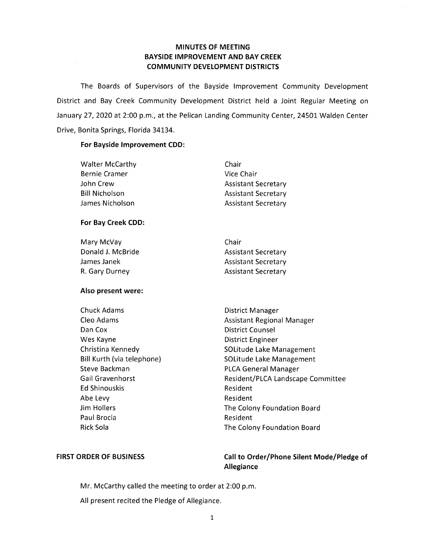# **MINUTES OF MEETING BAYSIDE IMPROVEMENT AND BAY CREEK COMMUNITY DEVELOPMENT DISTRICTS**

The Boards of Supervisors of the Bayside Improvement Community Development District and Bay Creek Community Development District held a Joint Regular Meeting on January 27, 2020 at 2:00 p.m., at the Pelican Landing Community Center, 24501 Walden Center Drive, Bonita Springs, Florida 34134.

### **For Bayside Improvement CDD:**

 $\mathcal{L}^{\pm}$ 

| <b>Walter McCarthy</b>     | Chair                             |
|----------------------------|-----------------------------------|
| <b>Bernie Cramer</b>       | <b>Vice Chair</b>                 |
| John Crew                  | <b>Assistant Secretary</b>        |
| <b>Bill Nicholson</b>      | <b>Assistant Secretary</b>        |
| James Nicholson            | <b>Assistant Secretary</b>        |
| For Bay Creek CDD:         |                                   |
| Mary McVay                 | Chair                             |
| Donald J. McBride          | <b>Assistant Secretary</b>        |
| James Janek                | <b>Assistant Secretary</b>        |
| R. Gary Durney             | <b>Assistant Secretary</b>        |
| Also present were:         |                                   |
| <b>Chuck Adams</b>         | District Manager                  |
| Cleo Adams                 | <b>Assistant Regional Manager</b> |
| Dan Cox                    | <b>District Counsel</b>           |
| Wes Kayne                  | <b>District Engineer</b>          |
| Christina Kennedy          | <b>SOLitude Lake Management</b>   |
| Bill Kurth (via telephone) | SOLitude Lake Management          |
| Steve Backman              | <b>PLCA General Manager</b>       |
| <b>Gail Gravenhorst</b>    | Resident/PLCA Landscape Committee |
| <b>Ed Shinouskis</b>       | Resident                          |
| Abe Levy                   | Resident                          |
| <b>Jim Hollers</b>         | The Colony Foundation Board       |
| Paul Brocia                | Resident                          |
| <b>Rick Sola</b>           | The Colony Foundation Board       |

# **FIRST ORDER OF BUSINESS**

# **Call to Order/Phone Silent Mode/Pledge of Allegiance**

Mr. McCarthy called the meeting to order at 2:00 p.m.

All present recited the Pledge of Allegiance.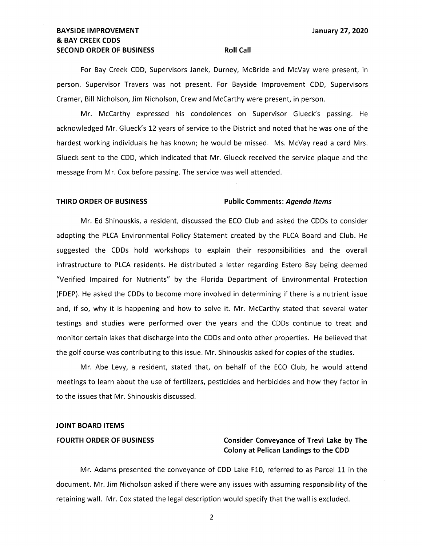# **BAYSIDE IMPROVEMENT State of the CONSTRUCTION CONTROL CONTROL CONTROL CONTROL CONTROL CONTROL CONTROL CONTROL CONTROL CONTROL CONTROL CONTROL CONTROL CONTROL CONTROL CONTROL CONTROL CONTROL CONTROL CONTROL CONTROL CONTR** & **BAY CREEK CODS SECOND ORDER OF BUSINESS ROLL CALL ROLL CALL**

For Bay Creek CDD, Supervisors Janek, Durney, McBride and McVay were present, in person. Supervisor Travers was not present. For Bayside Improvement CDD, Supervisors Cramer, Bill Nicholson, Jim Nicholson, Crew and McCarthy were present, in person.

Mr. McCarthy expressed his condolences on Supervisor Glueck's passing. He acknowledged Mr. Glueck's 12 years of service to the District and noted that he was one of the hardest working individuals he has known; he would be missed. Ms. McVay read a card Mrs. Glueck sent to the CDD, which indicated that Mr. Glueck received the service plaque and the message from Mr. Cox before passing. The service was well attended.

## **THIRD ORDER OF BUSINESS Public Comments: Agenda Items**

Mr. Ed Shinouskis, a resident, discussed the ECO Club and asked the CDDs to consider adopting the PLCA Environmental Policy Statement created by the PLCA Board and Club. He suggested the CDDs hold workshops to explain their responsibilities and the overall infrastructure to PLCA residents. He distributed a letter regarding Estero Bay being deemed "Verified Impaired for Nutrients" by the Florida Department of Environmental Protection (FDEP). He asked the CDDs to become more involved in determining if there is a nutrient issue and, if so, why it is happening and how to solve it. Mr. McCarthy stated that several water testings and studies were performed over the years and the CDDs continue to treat and monitor certain lakes that discharge into the CDDs and onto other properties. He believed that the golf course was contributing to this issue. Mr. Shinouskis asked for copies of the studies.

Mr. Abe Levy, a resident, stated that, on behalf of the ECO Club, he would attend meetings to learn about the use of fertilizers, pesticides and herbicides and how they factor in to the issues that Mr. Shinouskis discussed.

### **JOINT BOARD ITEMS**

# FOURTH ORDER OF BUSINESS **Consider Conveyance of Trevi Lake by The Colony at Pelican Landings to the CDD**

Mr. Adams presented the conveyance of CDD Lake F10, referred to as Parcel 11 in the document. Mr. Jim Nicholson asked if there were any issues with assuming responsibility of the retaining wall. Mr. Cox stated the legal description would specify that the wall is excluded.

2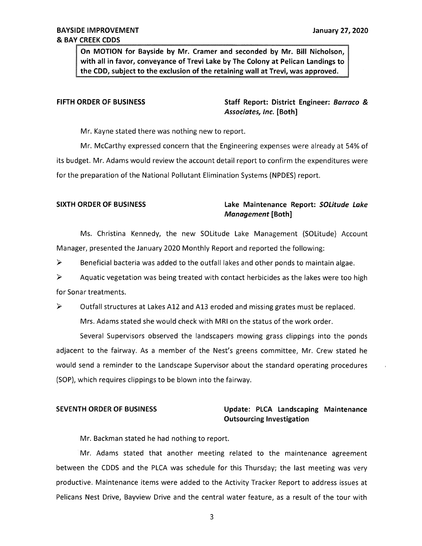**On MOTION for Bayside by Mr. Cramer and seconded by Mr. Bill Nicholson, with all in favor, conveyance of Trevi Lake by The Colony at Pelican Landings to the CDD, subject to the exclusion of the retaining wall at Trevi, was approved.** 

**FIFTH ORDER OF BUSINESS Staff Report: District Engineer:** *Barraco* & *Associates, Inc.* [Both]

Mr. Kayne stated there was nothing new to report.

Mr. McCarthy expressed concern that the Engineering expenses were already at 54% of its budget. Mr. Adams would review the account detail report to confirm the expenditures were for the preparation of the National Pollutant Elimination Systems (NPDES) report.

# **SIXTH ORDER OF BUSINESS Lake Maintenance Report:** *SOlitude lake Management* **[Both]**

Ms. Christina Kennedy, the new SOLitude Lake Management (SOLitude) Account Manager, presented the January 2020 Monthly Report and reported the following:

 $\triangleright$  Beneficial bacteria was added to the outfall lakes and other ponds to maintain algae.

 $\triangleright$  Aquatic vegetation was being treated with contact herbicides as the lakes were too high for Sonar treatments.

► Outfall structures at Lakes A12 and A13 eroded and missing grates must be replaced. Mrs. Adams stated she would check with MRI on the status of the work order.

Several Supervisors observed the landscapers mowing grass clippings into the ponds adjacent to the fairway. As a member of the Nest's greens committee, Mr. Crew stated he would send a reminder to the Landscape Supervisor about the standard operating procedures (SOP), which requires clippings to be blown into the fairway.

# **SEVENTH ORDER OF BUSINESS Update: PLCA Landscaping Maintenance Outsourcing Investigation**

Mr. Backman stated he had nothing to report.

Mr. Adams stated that another meeting related to the maintenance agreement between the CDDS and the PLCA was schedule for this Thursday; the last meeting was very productive. Maintenance items were added to the Activity Tracker Report to address issues at Pelicans Nest Drive, Bayview Drive and the central water feature, as a result of the tour with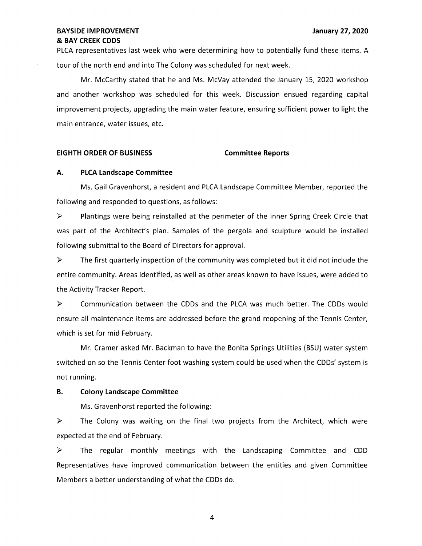PLCA representatives last week who were determining how to potentially fund these items. A tour of the north end and into The Colony was scheduled for next week.

Mr. McCarthy stated that he and Ms. McVay attended the January 15, 2020 workshop and another workshop was scheduled for this week. Discussion ensued regarding capital improvement projects, upgrading the main water feature, ensuring sufficient power to light the main entrance, water issues, etc.

### **EIGHTH ORDER OF BUSINESS Committee Reports**

# **A. PLCA Landscape Committee**

Ms. Gail Gravenhorst, a resident and PLCA Landscape Committee Member, reported the following and responded to questions, as follows:

► Plantings were being reinstalled at the perimeter of the inner Spring Creek Circle that was part of the Architect's plan. Samples of the pergola and sculpture would be installed following submittal to the Board of Directors for approval.

 $\triangleright$  The first quarterly inspection of the community was completed but it did not include the entire community. Areas identified, as well as other areas known to have issues, were added to the Activity Tracker Report.

► Communication between the CDDs and the PLCA was much better. The CDDs would ensure all maintenance items are addressed before the grand reopening of the Tennis Center, which is set for mid February.

Mr. Cramer asked Mr. Backman to have the Bonita Springs Utilities (BSU) water system switched on so the Tennis Center foot washing system could be used when the CDDs' system is not running.

### **B. Colony Landscape Committee**

Ms. Gravenhorst reported the following:

► The Colony was waiting on the final two projects from the Architect, which were expected at the end of February.

► The regular monthly meetings with the Landscaping Committee and COD Representatives have improved communication between the entities and given Committee Members a better understanding of what the CDDs do.

4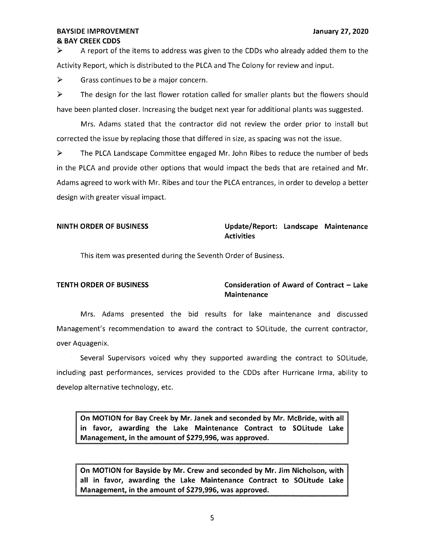$\triangleright$  A report of the items to address was given to the CDDs who already added them to the Activity Report, which is distributed to the PLCA and The Colony for review and input.

 $\triangleright$  Grass continues to be a major concern.

 $\triangleright$  The design for the last flower rotation called for smaller plants but the flowers should have been planted closer. Increasing the budget next year for additional plants was suggested.

Mrs. Adams stated that the contractor did not review the order prior to install but corrected the issue by replacing those that differed in size, as spacing was not the issue.

► The PLCA Landscape Committee engaged Mr. John Ribes to reduce the number of beds in the PLCA and provide other options that would impact the beds that are retained and Mr. Adams agreed to work with Mr. Ribes and tour the PLCA entrances, in order to develop a better design with greater visual impact.

# **NINTH ORDER OF BUSINESS Update/Report: Landscape Maintenance Activities**

This item was presented during the Seventh Order of Business.

# **TENTH ORDER OF BUSINESS Consideration of Award of Contract - Lake Maintenance**

Mrs. Adams presented the bid results for lake maintenance and discussed Management's recommendation to award the contract to SOLitude, the current contractor, over Aquagenix.

Several Supervisors voiced why they supported awarding the contract to SOLitude, including past performances, services provided to the CDDs after Hurricane Irma, ability to develop alternative technology, etc.

**On MOTION for Bay Creek by Mr. Janek and seconded by Mr. McBride, with all in favor, awarding the Lake Maintenance Contract to solitude Lake Management, in the amount of \$279,996, was approved.** 

**On MOTION for Bayside by Mr. Crew and seconded by Mr. Jim Nicholson, with all in favor, awarding the Lake Maintenance Contract to solitude Lake Management, in the amount of \$279,996, was approved.**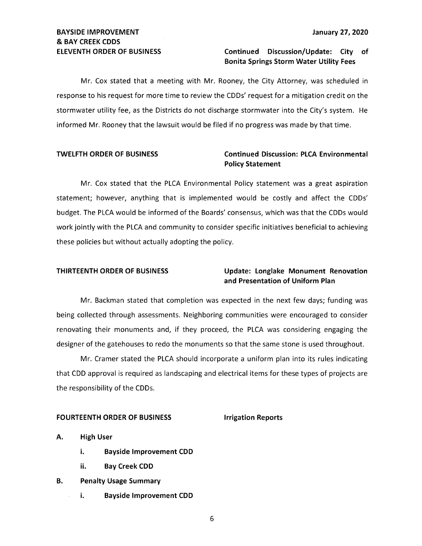# **ELEVENTH ORDER OF BUSINESS Continued Discussion/Update: City of Bonita Springs Storm Water Utility Fees**

Mr. Cox stated that a meeting with Mr. Rooney, the City Attorney, was scheduled in response to his request for more time to review the CDDs' request for a mitigation credit on the stormwater utility fee, as the Districts do not discharge stormwater into the City's system. He informed Mr. Rooney that the lawsuit would be filed if no progress was made by that time.

# **TWELFTH ORDER OF BUSINESS Continued Discussion: PLCA Environmental Policy Statement**

Mr. Cox stated that the PLCA Environmental Policy statement was a great aspiration statement; however, anything that is implemented would be costly and affect the CDDs' budget. The PLCA would be informed of the Boards' consensus, which was that the CDDs would work jointly with the PLCA and community to consider specific initiatives beneficial to achieving these policies but without actually adopting the policy.

# **THIRTEENTH ORDER OF BUSINESS Update: Longlake Monument Renovation and Presentation of Uniform Plan**

Mr. Backman stated that completion was expected in the next few days; funding was being collected through assessments. Neighboring communities were encouraged to consider renovating their monuments and, if they proceed, the PLCA was considering engaging the designer of the gatehouses to redo the monuments so that the same stone is used throughout.

Mr. Cramer stated the PLCA should incorporate a uniform plan into its rules indicating that CDD approval is required as landscaping and electrical items for these types of projects are the responsibility of the CDDs.

# **FOURTEENTH ORDER OF BUSINESS FOURTEENTH ORDER OF BUSINESS**

**A. High User** 

- **i. Bayside Improvement CDD**
- ii. **Bay Creek CDD**
- **B. Penalty Usage Summary** 
	- **i. Bayside Improvement CDD**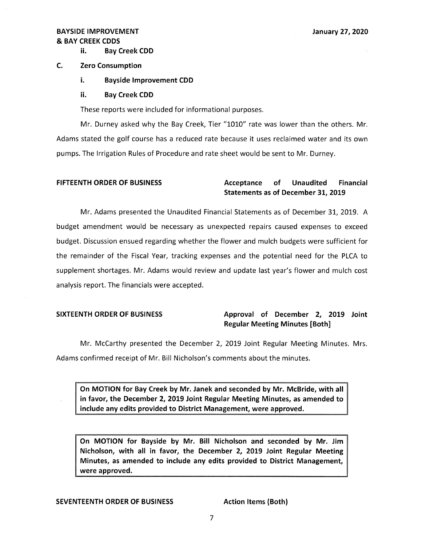ii. **Bay Creek COD** 

# **C. Zero Consumption**

- i. **Bayside Improvement COD**
- ii. **Bay Creek COD**

These reports were included for informational purposes.

Mr. Durney asked why the Bay Creek, Tier "1010" rate was lower than the others. Mr. Adams stated the golf course has a reduced rate because it uses reclaimed water and its own pumps. The Irrigation Rules of Procedure and rate sheet would be sent to Mr. Durney.

# FIFTEENTH ORDER OF BUSINESS **Acceptance** of Unaudited Financial **Statements as of December 31, 2019**

Mr. Adams presented the Unaudited Financial Statements as of December 31, 2019. A budget amendment would be necessary as unexpected repairs caused expenses to exceed budget. Discussion ensued regarding whether the flower and mulch budgets were sufficient for the remainder of the Fiscal Year, tracking expenses and the potential need for the PLCA to supplement shortages. Mr. Adams would review and update last year's flower and mulch cost analysis report. The financials were accepted.

# SIXTEENTH ORDER OF BUSINESS **Approval of December 2, 2019 Joint Regular Meeting Minutes [Both]**

Mr. McCarthy presented the December 2, 2019 Joint Regular Meeting Minutes. Mrs. Adams confirmed receipt of Mr. Bill Nicholson's comments about the minutes.

**On MOTION for Bay Creek by Mr. Janek and seconded by Mr. McBride, with all in favor, the December 2, 2019 Joint Regular Meeting Minutes, as amended to include any edits provided to District Management, were approved.** 

**On MOTION for Bayside by Mr. Bill Nicholson and seconded by Mr. Jim Nicholson, with all in favor, the December 2, 2019 Joint Regular Meeting Minutes, as amended to include any edits provided to District Management, were approved.** 

# **SEVENTEENTH ORDER OF BUSINESS Action Items (Both)**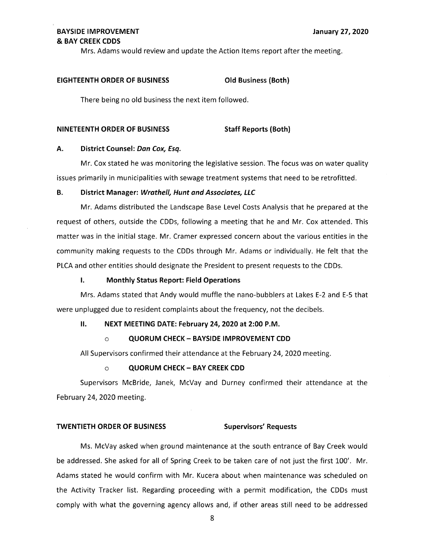Mrs. Adams would review and update the Action Items report after the meeting.

### **EIGHTEENTH ORDER OF BUSINESS Old Business (Both)**

There being no old business the next item followed.

## **NINETEENTH ORDER OF BUSINESS STATE STAFF Reports (Both)**

# **A. District Counsel: Dan Cox, Esq.**

Mr. Cox stated he was monitoring the legislative session. The focus was on water quality issues primarily in municipalities with sewage treatment systems that need to be retrofitted.

### **B.** District Manager: Wrathell, Hunt and Associates, LLC

Mr. Adams distributed the Landscape Base Level Costs Analysis that he prepared at the request of others, outside the CDDs, following a meeting that he and Mr. Cox attended. This matter was in the initial stage. Mr. Cramer expressed concern about the various entities in the community making requests to the CDDs through Mr. Adams or individually. He felt that the PLCA and other entities should designate the President to present requests to the CDDs.

### **I. Monthly Status Report: Field Operations**

Mrs. Adams stated that Andy would muffle the nano-bubblers at Lakes E-2 and E-5 that were unplugged due to resident complaints about the frequency, not the decibels.

### II. **NEXT MEETING DATE: February 24, 2020 at 2:00 P.M.**

### o **QUORUM CHECK- BAYSIDE IMPROVEMENT COD**

All Supervisors confirmed their attendance at the February 24, 2020 meeting.

### o **QUORUM CHECK- BAY CREEK COD**

Supervisors McBride, Janek, McVay and Durney confirmed their attendance at the February 24, 2020 meeting.

### **TWENTIETH ORDER OF BUSINESS Supervisors' Requests**

Ms. McVay asked when ground maintenance at the south entrance of Bay Creek would be addressed. She asked for all of Spring Creek to be taken care of not just the first 100'. Mr. Adams stated he would confirm with Mr. Kucera about when maintenance was scheduled on the Activity Tracker list. Regarding proceeding with a permit modification, the CDDs must comply with what the governing agency allows and, if other areas still need to be addressed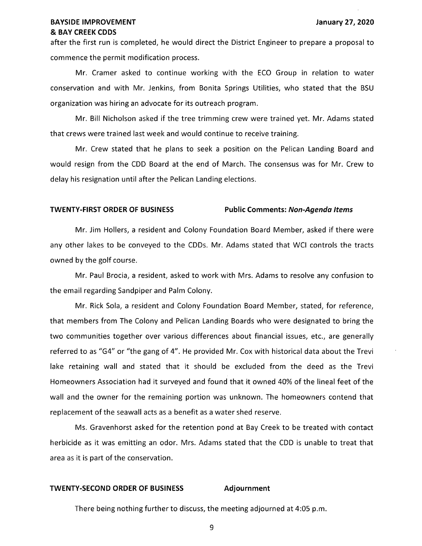## **BAYSIDE IMPROVEMENT January 27, 2020**  & **BAY CREEK CODS**

after the first run is completed, he would direct the District Engineer to prepare a proposal to commence the permit modification process.

Mr. Cramer asked to continue working with the ECO Group in relation to water conservation and with Mr. Jenkins, from Bonita Springs Utilities, who stated that the BSU organization was hiring an advocate for its outreach program.

Mr. Bill Nicholson asked if the tree trimming crew were trained yet. Mr. Adams stated that crews were trained last week and would continue to receive training.

Mr. Crew stated that he plans to seek a position on the Pelican Landing Board and would resign from the COD Board at the end of March. The consensus was for Mr. Crew to delay his resignation until after the Pelican Landing elections.

# **TWENTY-FIRST ORDER OF BUSINESS Public Comments: Non-Agenda Items**

Mr. Jim Hollers, a resident and Colony Foundation Board Member, asked if there were any other lakes to be conveyed to the CDDs. Mr. Adams stated that WCI controls the tracts owned by the golf course.

Mr. Paul Brocia, a resident, asked to work with Mrs. Adams to resolve any confusion to the email regarding Sandpiper and Palm Colony.

Mr. Rick Sola, a resident and Colony Foundation Board Member, stated, for reference, that members from The Colony and Pelican Landing Boards who were designated to bring the two communities together over various differences about financial issues, etc., are generally referred to as "G4" or "the gang of 4". He provided Mr. Cox with historical data about the Trevi lake retaining wall and stated that it should be excluded from the deed as the Trevi Homeowners Association had it surveyed and found that it owned 40% of the lineal feet of the wall and the owner for the remaining portion was unknown. The homeowners contend that replacement of the seawall acts as a benefit as a water shed reserve.

Ms. Gravenhorst asked for the retention pond at Bay Creek to be treated with contact herbicide as it was emitting an odor. Mrs. Adams stated that the COD is unable to treat that area as it is part of the conservation.

# **TWENTY-SECOND ORDER OF BUSINESS Adjournment**

There being nothing further to discuss, the meeting adjourned at 4:05 p.m.